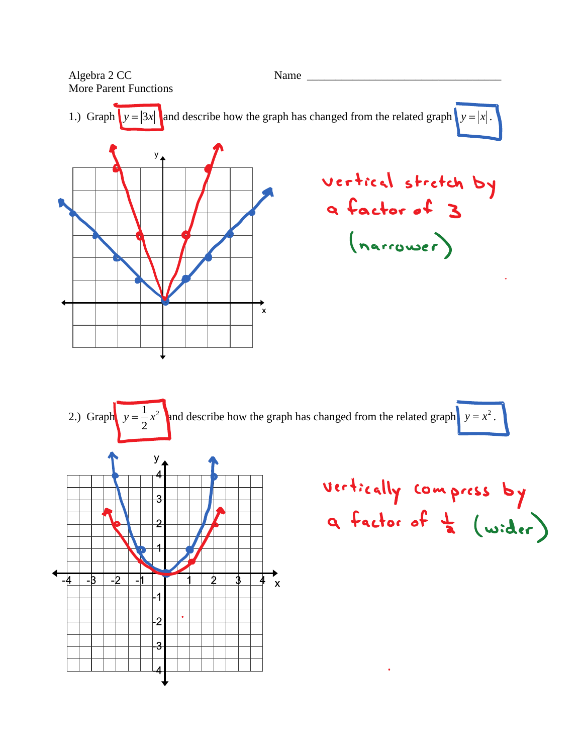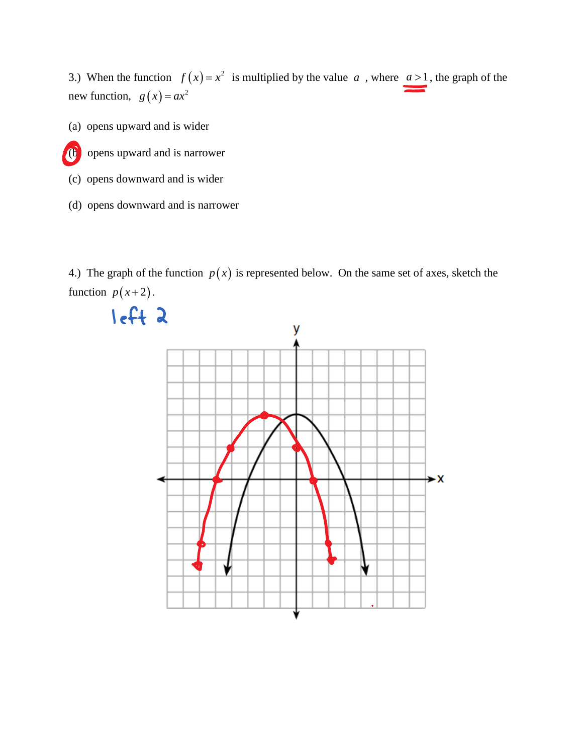3.) When the function  $f(x) = x^2$  is multiplied by the value a, where  $a > 1$ , the graph of the new function,  $g(x) = ax^2$ 

(a) opens upward and is wider



- (c) opens downward and is wider
- (d) opens downward and is narrower

4.) The graph of the function  $p(x)$  is represented below. On the same set of axes, sketch the function  $p(x+2)$ .